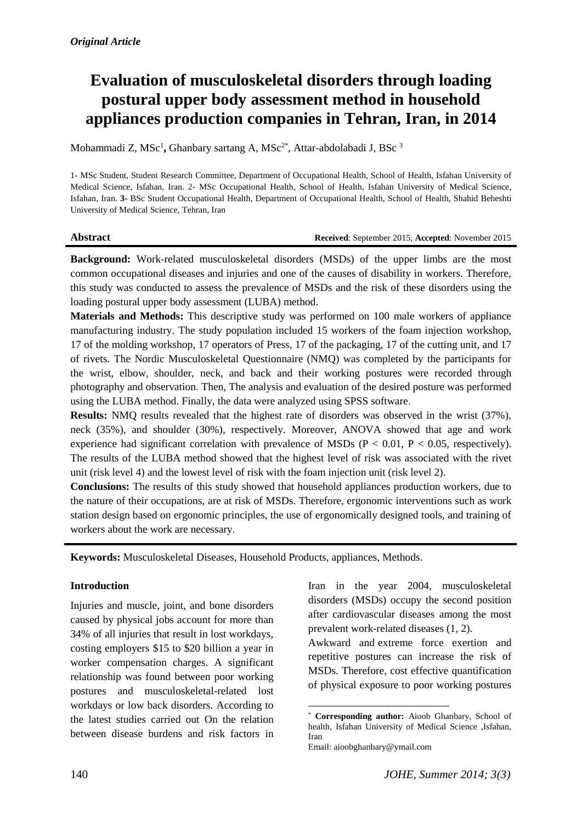# **Evaluation of musculoskeletal disorders through loading postural upper body assessment method in household appliances production companies in Tehran, Iran, in 2014**

Mohammadi Z, MSc<sup>1</sup>, Ghanbary sartang A, MSc<sup>2\*</sup>, Attar-abdolabadi J, BSc<sup>3</sup>

1- MSc Student, Student Research Committee, Department of Occupational Health, School of Health, Isfahan University of Medical Science, Isfahan, Iran. 2- MSc Occupational Health, School of Health, Isfahan University of Medical Science, Isfahan, Iran. **3-** BSc Student Occupational Health, Department of Occupational Health, School of Health, Shahid Beheshti University of Medical Science, Tehran, Iran

**Abstract Received**: September 2015, **Accepted**: November 2015

**Background:** Work-related musculoskeletal disorders (MSDs) of the upper limbs are the most common occupational diseases and injuries and one of the causes of disability in workers. Therefore, this study was conducted to assess the prevalence of MSDs and the risk of these disorders using the loading postural upper body assessment (LUBA) method.

**Materials and Methods:** This descriptive study was performed on 100 male workers of appliance manufacturing industry. The study population included 15 workers of the foam injection workshop, 17 of the molding workshop, 17 operators of Press, 17 of the packaging, 17 of the cutting unit, and 17 of rivets. The Nordic Musculoskeletal Questionnaire (NMQ) was completed by the participants for the wrist, elbow, shoulder, neck, and back and their working postures were recorded through photography and observation. Then, The analysis and evaluation of the desired posture was performed using the LUBA method. Finally, the data were analyzed using SPSS software.

**Results:** NMQ results revealed that the highest rate of disorders was observed in the wrist (37%), neck (35%), and shoulder (30%), respectively. Moreover, ANOVA showed that age and work experience had significant correlation with prevalence of MSDs ( $P < 0.01$ ,  $P < 0.05$ , respectively). The results of the LUBA method showed that the highest level of risk was associated with the rivet unit (risk level 4) and the lowest level of risk with the foam injection unit (risk level 2).

**Conclusions:** The results of this study showed that household appliances production workers, due to the nature of their occupations, are at risk of MSDs. Therefore, ergonomic interventions such as work station design based on ergonomic principles, the use of ergonomically designed tools, and training of workers about the work are necessary.

**.** 

**Keywords:** Musculoskeletal Diseases, Household Products, appliances, Methods.

# **Introduction**

Injuries and muscle, joint, and bone disorders caused by physical jobs account for more than 34% of all injuries that result in lost workdays, costing employers \$15 to \$20 billion a year in worker compensation charges. A significant relationship was found between poor working postures and musculoskeletal-related lost workdays or low back disorders. According to the latest studies carried out On the relation between disease burdens and risk factors in

Iran in the year 2004, musculoskeletal disorders (MSDs) occupy the second position after cardiovascular diseases among the most prevalent work-related diseases (1, [2\)](#page-4-0).

Awkward and extreme force exertion and repetitive postures can increase the risk of MSDs. Therefore, cost effective quantification of physical exposure to poor working postures

Corresponding author: Aioob Ghanbary, School of health, Isfahan University of Medical Science ,Isfahan, Iran

Email: aioobghanbary@ymail.com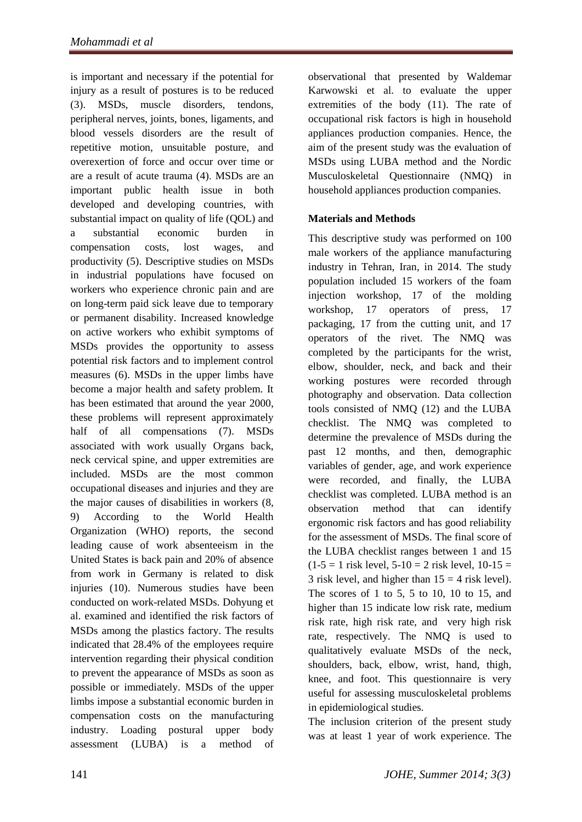is important and necessary if the potential for injury as a result of postures is to be reduced [\(3\)](#page-4-1). MSDs, muscle disorders, tendons, peripheral nerves, joints, bones, ligaments, and blood vessels disorders are the result of repetitive motion, unsuitable posture, and overexertion of force and occur over time or are a result of acute trauma [\(4\)](#page-4-2). MSDs are an important public health issue in both developed and developing countries, with substantial impact on quality of life (QOL) and a substantial economic burden in compensation costs, lost wages, and productivity [\(5\)](#page-4-3). Descriptive studies on MSDs in industrial populations have focused on workers who experience chronic pain and are on long-term paid sick leave due to temporary or permanent disability. Increased knowledge on active workers who exhibit symptoms of MSDs provides the opportunity to assess potential risk factors and to implement control measures (6). MSDs in the upper limbs have become a major health and safety problem. It has been estimated that around the year 2000, these problems will represent approximately half of all compensations (7). MSDs associated with work usually Organs back, neck cervical spine, and upper extremities are included. MSDs are the most common occupational diseases and injuries and they are the major causes of disabilities in workers [\(8,](#page-4-4) [9\)](#page-4-5) According to the World Health Organization (WHO) reports, the second leading cause of work absenteeism in the United States is back pain and 20% of absence from work in Germany is related to disk injuries [\(10\)](#page-4-6). Numerous studies have been conducted on work-related MSDs. Dohyung et al. examined and identified the risk factors of MSDs among the plastics factory. The results indicated that 28.4% of the employees require intervention regarding their physical condition to prevent the appearance of MSDs as soon as possible or immediately. MSDs of the upper limbs impose a substantial economic burden in compensation costs on the manufacturing industry. Loading postural upper body assessment (LUBA) is a method of

observational that presented by Waldemar Karwowski et al. to evaluate the upper extremities of the body [\(11\)](#page-4-7). The rate of occupational risk factors is high in household appliances production companies. Hence, the aim of the present study was the evaluation of MSDs using LUBA method and the Nordic Musculoskeletal Questionnaire (NMQ) in household appliances production companies.

# **Materials and Methods**

This descriptive study was performed on 100 male workers of the appliance manufacturing industry in Tehran, Iran, in 2014. The study population included 15 workers of the foam injection workshop, 17 of the molding workshop, 17 operators of press, 17 packaging, 17 from the cutting unit, and 17 operators of the rivet. The NMQ was completed by the participants for the wrist, elbow, shoulder, neck, and back and their working postures were recorded through photography and observation. Data collection tools consisted of NMQ (12) and the LUBA checklist. The NMQ was completed to determine the prevalence of MSDs during the past 12 months, and then, demographic variables of gender, age, and work experience were recorded, and finally, the LUBA checklist was completed. LUBA method is an observation method that can identify ergonomic risk factors and has good reliability for the assessment of MSDs. The final score of the LUBA checklist ranges between 1 and 15  $(1-5 = 1$  risk level,  $5-10 = 2$  risk level,  $10-15 =$ 3 risk level, and higher than  $15 = 4$  risk level). The scores of 1 to 5, 5 to 10, 10 to 15, and higher than 15 indicate low risk rate, medium risk rate, high risk rate, and very high risk rate, respectively. The NMQ is used to qualitatively evaluate MSDs of the neck, shoulders, back, elbow, wrist, hand, thigh, knee, and foot. This questionnaire is very useful for assessing musculoskeletal problems in epidemiological studies.

The inclusion criterion of the present study was at least 1 year of work experience. The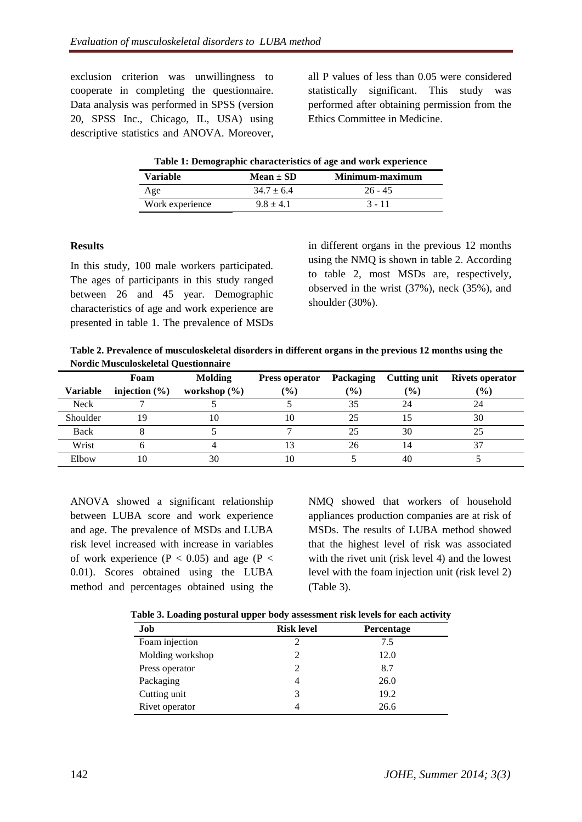exclusion criterion was unwillingness to cooperate in completing the questionnaire. Data analysis was performed in SPSS (version 20, SPSS Inc., Chicago, IL, USA) using descriptive statistics and ANOVA. Moreover, all P values of less than 0.05 were considered statistically significant. This study was performed after obtaining permission from the Ethics Committee in Medicine.

| Table 1: Demographic characteristics of age and work experience |                |                 |  |  |  |
|-----------------------------------------------------------------|----------------|-----------------|--|--|--|
| <b>Variable</b>                                                 | $Mean \pm SD$  | Minimum-maximum |  |  |  |
| Age                                                             | $34.7 \pm 6.4$ | $26 - 45$       |  |  |  |
| Work experience                                                 | $9.8 + 4.1$    | $3 - 11$        |  |  |  |

#### **Results**

In this study, 100 male workers participated. The ages of participants in this study ranged between 26 and 45 year. Demographic characteristics of age and work experience are presented in table 1. The prevalence of MSDs

in different organs in the previous 12 months using the NMQ is shown in table 2. According to table 2, most MSDs are, respectively, observed in the wrist (37%), neck (35%), and shoulder (30%).

**Table 2. Prevalence of musculoskeletal disorders in different organs in the previous 12 months using the Nordic Musculoskeletal Questionnaire**

|                 | Foam              | <b>Molding</b>   | Press operator | Packaging     | <b>Cutting unit</b> | <b>Rivets operator</b> |
|-----------------|-------------------|------------------|----------------|---------------|---------------------|------------------------|
| <b>Variable</b> | injection $(\% )$ | workshop $(\% )$ | $\frac{6}{6}$  | $\frac{9}{6}$ | $($ %)              | $\frac{9}{6}$          |
| <b>Neck</b>     |                   |                  |                | 35            | 24                  | 24                     |
| Shoulder        |                   |                  | 10             | 25            |                     | 30                     |
| Back            |                   |                  |                | 25            | 30                  |                        |
| Wrist           |                   |                  |                | 26            | 14                  | 37                     |
| Elbow           |                   | 30               |                |               | 40                  |                        |

ANOVA showed a significant relationship between LUBA score and work experience and age. The prevalence of MSDs and LUBA risk level increased with increase in variables of work experience ( $P < 0.05$ ) and age ( $P <$ 0.01). Scores obtained using the LUBA method and percentages obtained using the

NMQ showed that workers of household appliances production companies are at risk of MSDs. The results of LUBA method showed that the highest level of risk was associated with the rivet unit (risk level 4) and the lowest level with the foam injection unit (risk level 2) (Table 3).

**Table 3. Loading postural upper body assessment risk levels for each activity**

| Job              | <b>Risk level</b> | <b>Percentage</b> |
|------------------|-------------------|-------------------|
| Foam injection   |                   | 7.5               |
| Molding workshop |                   | 12.0              |
| Press operator   |                   | 8.7               |
| Packaging        |                   | 26.0              |
| Cutting unit     |                   | 19.2              |
| Rivet operator   |                   | 26.6              |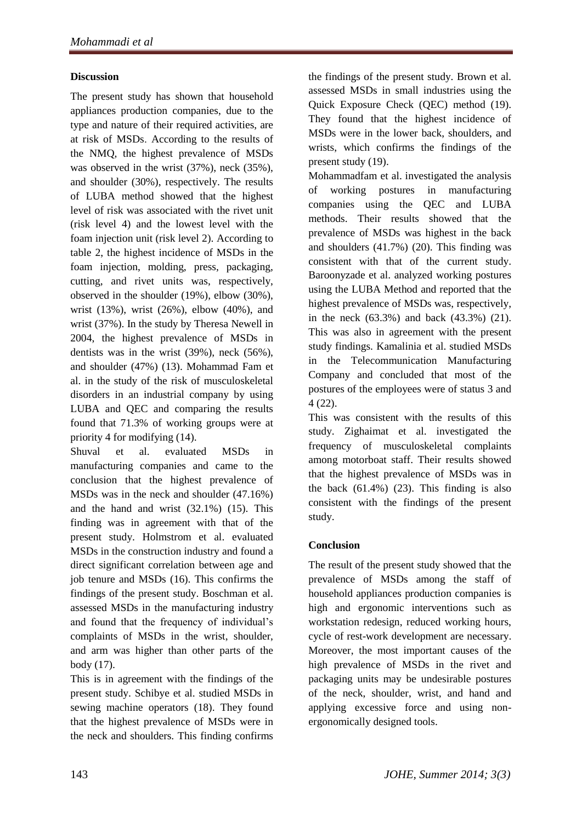# **Discussion**

The present study has shown that household appliances production companies, due to the type and nature of their required activities, are at risk of MSDs. According to the results of the NMQ, the highest prevalence of MSDs was observed in the wrist (37%), neck (35%), and shoulder (30%), respectively. The results of LUBA method showed that the highest level of risk was associated with the rivet unit (risk level 4) and the lowest level with the foam injection unit (risk level 2). According to table 2, the highest incidence of MSDs in the foam injection, molding, press, packaging, cutting, and rivet units was, respectively, observed in the shoulder (19%), elbow (30%), wrist (13%), wrist (26%), elbow (40%), and wrist (37%). In the study by Theresa Newell in 2004, the highest prevalence of MSDs in dentists was in the wrist (39%), neck (56%), and shoulder (47%) [\(13\)](#page-4-8). Mohammad Fam et al. in the study of the risk of musculoskeletal disorders in an industrial company by using LUBA and QEC and comparing the results found that 71.3% of working groups were at priority 4 for modifying (14).

Shuval et al. evaluated MSDs in manufacturing companies and came to the conclusion that the highest prevalence of MSDs was in the neck and shoulder (47.16%) and the hand and wrist (32.1%) (15). This finding was in agreement with that of the present study. Holmstrom et al. evaluated MSDs in the construction industry and found a direct significant correlation between age and job tenure and MSDs (16). This confirms the findings of the present study. Boschman et al. assessed MSDs in the manufacturing industry and found that the frequency of individual's complaints of MSDs in the wrist, shoulder, and arm was higher than other parts of the body (17).

This is in agreement with the findings of the present study. Schibye et al. studied MSDs in sewing machine operators (18). They found that the highest prevalence of MSDs were in the neck and shoulders. This finding confirms

the findings of the present study. Brown et al. assessed MSDs in small industries using the Quick Exposure Check (QEC) method (19). They found that the highest incidence of MSDs were in the lower back, shoulders, and wrists, which confirms the findings of the present study (19).

Mohammadfam et al. investigated the analysis of working postures in manufacturing companies using the QEC and LUBA methods. Their results showed that the prevalence of MSDs was highest in the back and shoulders (41.7%) (20). This finding was consistent with that of the current study. Baroonyzade et al. analyzed working postures using the LUBA Method and reported that the highest prevalence of MSDs was, respectively, in the neck (63.3%) and back (43.3%) (21). This was also in agreement with the present study findings. Kamalinia et al. studied MSDs in the Telecommunication Manufacturing Company and concluded that most of the postures of the employees were of status 3 and 4 (22).

This was consistent with the results of this study. Zighaimat et al. investigated the frequency of musculoskeletal complaints among motorboat staff. Their results showed that the highest prevalence of MSDs was in the back  $(61.4\%)$   $(23)$ . This finding is also consistent with the findings of the present study.

# **Conclusion**

The result of the present study showed that the prevalence of MSDs among the staff of household appliances production companies is high and ergonomic interventions such as workstation redesign, reduced working hours, cycle of rest-work development are necessary. Moreover, the most important causes of the high prevalence of MSDs in the rivet and packaging units may be undesirable postures of the neck, shoulder, wrist, and hand and applying excessive force and using nonergonomically designed tools.